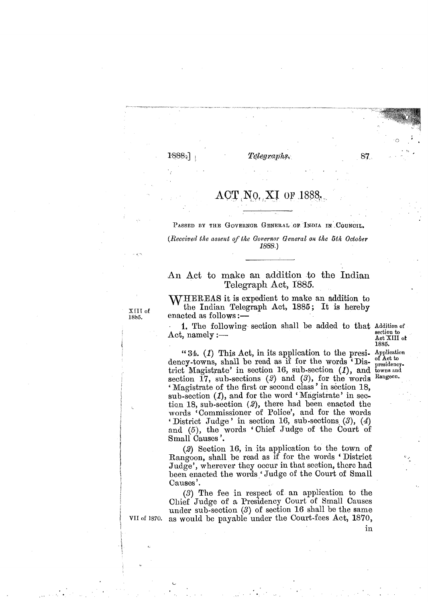## $\mathcal{T}e\mathcal{I}eq\mathcal{I}aphs.$

## $\text{ACT}$ , No. XI OF 1888.

PASSED BY THE GOVERNOR GENERAL OF INDIA IN COUNCIL.

*(Received the assent of the Gorernor General on the 5th October* 1889.)

## **An Act to make an addition to the Indian Telegraph Act, 1885.**

**WHEREAS** it is expedient to make an addition to the Indian Telegraph Act, 1885; It is hereby enacted as follows :-

1. The following section shall be added to that Addition of **Act, namely :**-

**Act XI11 of 1885.** 

"  $34.$  (1) This Act, in its application to the presi- Application  $\cdots$  denotes the state of Act to dency-towns, shall be read as if for the words 'Disuency-towns, shall be read as if for the words Dis-<br>trict Magistrate' in section 16, sub-section (1), and towns and<br>section 17 sub-sections (2) and (3), for the words Rangeon. section  $17$ , sub-sections  $(2)$  and  $(3)$ , for the words ' Magistrate of the first or second class ' in section 18, sub-section (1), and for the word 'Magistrate' in section 18, sub-section  $(2)$ , there had been enacted the words 'Commissioner of Police', and for the words ' District Judge ' in section 16, sub-sections **(3),** (4) and (5), the words 'Chief Judge of the Court of Small Causes '.

(2) Section 16, in its application to the town of Rangoon, shall be read as if for the words 'District Judge', wherever they occur in that scction, thcrc had been enacted the words 'Judge of the Court of Small Causes'.

(3) The fee in respect of an application to the Chief Judge of a Presidency Court of Small Causes under sub-section  $(3)$  of section 16 shall be the same as would bc payable under the Court-fees Act, 1870,

XIII of 1885.

in

**VII of 1870.** 

87.